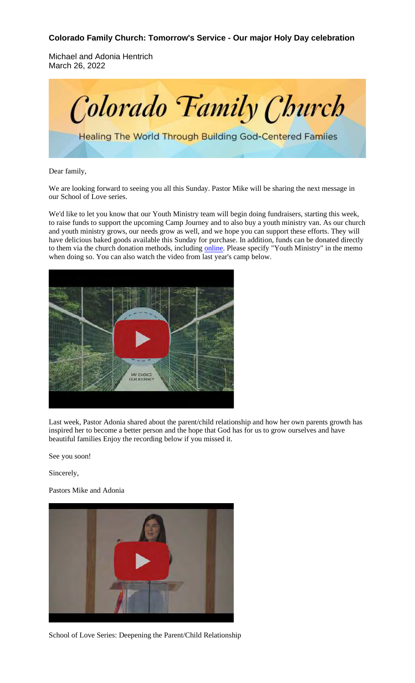## **Colorado Family Church: Tomorrow's Service - Our major Holy Day celebration**

Michael and Adonia Hentrich March 26, 2022



Dear family,

We are looking forward to seeing you all this Sunday. Pastor Mike will be sharing the next message in our School of Love series.

We'd like to let you know that our Youth Ministry team will begin doing fundraisers, starting this week, to raise funds to support the upcoming Camp Journey and to also buy a youth ministry van. As our church and youth ministry grows, our needs grow as well, and we hope you can support these efforts. They will have delicious baked goods available this Sunday for purchase. In addition, funds can be donated directly to them via the church donation methods, including online. Please specify "Youth Ministry" in the memo when doing so. You can also watch the video from last year's camp below.



Last week, Pastor Adonia shared about the parent/child relationship and how her own parents growth has inspired her to become a better person and the hope that God has for us to grow ourselves and have beautiful families Enjoy the recording below if you missed it.

See you soon!

Sincerely,

Pastors Mike and Adonia



School of Love Series: Deepening the Parent/Child Relationship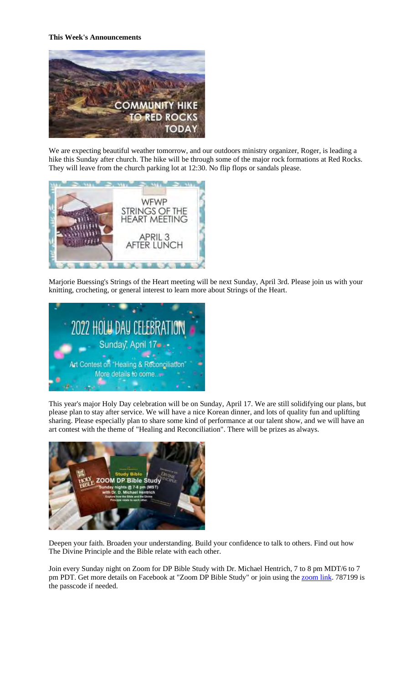## **This Week's Announcements**



We are expecting beautiful weather tomorrow, and our outdoors ministry organizer, Roger, is leading a hike this Sunday after church. The hike will be through some of the major rock formations at Red Rocks. They will leave from the church parking lot at 12:30. No flip flops or sandals please.



Marjorie Buessing's Strings of the Heart meeting will be next Sunday, April 3rd. Please join us with your knitting, crocheting, or general interest to learn more about Strings of the Heart.



This year's major Holy Day celebration will be on Sunday, April 17. We are still solidifying our plans, but please plan to stay after service. We will have a nice Korean dinner, and lots of quality fun and uplifting sharing. Please especially plan to share some kind of performance at our talent show, and we will have an art contest with the theme of "Healing and Reconciliation". There will be prizes as always.



Deepen your faith. Broaden your understanding. Build your confidence to talk to others. Find out how The Divine Principle and the Bible relate with each other.

Join every Sunday night on Zoom for DP Bible Study with Dr. Michael Hentrich, 7 to 8 pm MDT/6 to 7 pm PDT. Get more details on Facebook at "Zoom DP Bible Study" or join using the zoom link. 787199 is the passcode if needed.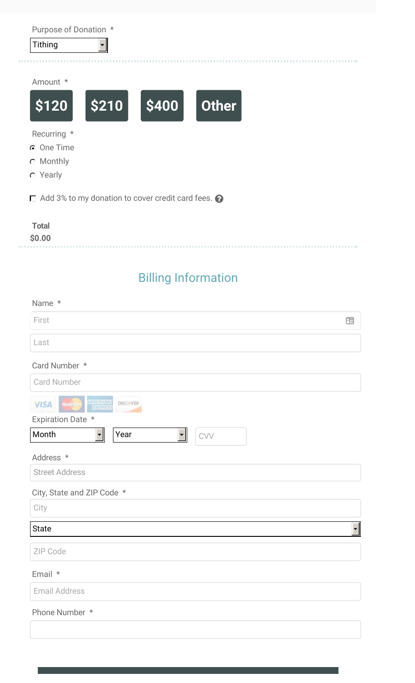| Purpose of Donation * |       |       |              |  |
|-----------------------|-------|-------|--------------|--|
| <b>Tithing</b>        |       |       |              |  |
|                       |       |       |              |  |
| Amount *              |       |       |              |  |
| \$120                 | \$210 | \$400 | <b>Other</b> |  |

Recurring \*

- One Time
- C Monthly
- Yearly

Add 3% to my donation to cover credit card fees.  $\bullet$ 

| <b>Total</b> |  |  |  |
|--------------|--|--|--|
| \$0.00       |  |  |  |
|              |  |  |  |

## Billing Information

| Name *                                                            |                        |
|-------------------------------------------------------------------|------------------------|
| First                                                             | 圕                      |
| Last                                                              |                        |
| Card Number *                                                     |                        |
| <b>Card Number</b>                                                |                        |
| <b>AMERICAN</b><br>EXPRESS<br><b>VISA</b> Madeic<br>DISCOVER      |                        |
| Expiration Date *                                                 |                        |
| Month<br>$\overline{\phantom{a}}$<br>Year<br>∼∥<br>$\mathrm{CVV}$ |                        |
| Address *                                                         |                        |
| <b>Street Address</b>                                             |                        |
| City, State and ZIP Code *                                        |                        |
| City                                                              |                        |
| <b>State</b>                                                      | $\left  \cdot \right $ |
| ZIP Code                                                          |                        |
| Email *                                                           |                        |
| <b>Email Address</b>                                              |                        |
| Phone Number *                                                    |                        |
|                                                                   |                        |
|                                                                   |                        |